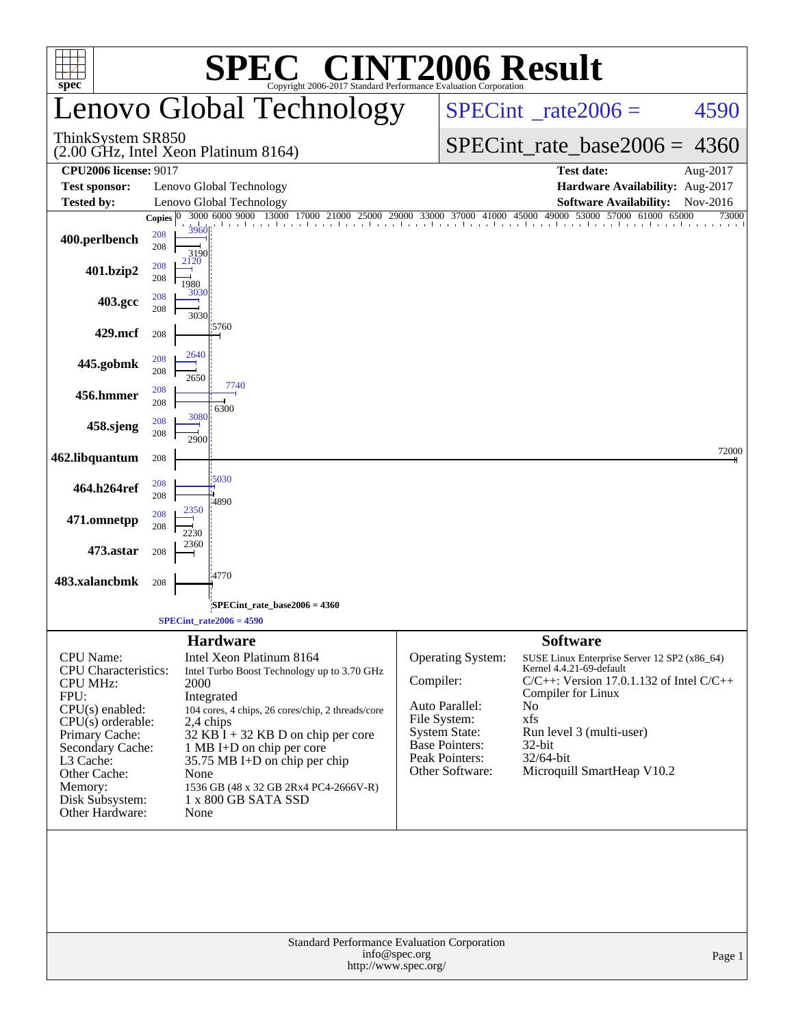| <b>SPEC<sup>®</sup> CINT2006 Result</b><br>$spec^*$<br>Copyright 2006-2017 Standard Performance Evaluation Corporation                                                                                                              |                                    |                                                                                                                                                                                                                                                                                                                                                          |                                                                                                                                                        |                                                                                                                                                                                                                                                                  |                            |  |  |  |
|-------------------------------------------------------------------------------------------------------------------------------------------------------------------------------------------------------------------------------------|------------------------------------|----------------------------------------------------------------------------------------------------------------------------------------------------------------------------------------------------------------------------------------------------------------------------------------------------------------------------------------------------------|--------------------------------------------------------------------------------------------------------------------------------------------------------|------------------------------------------------------------------------------------------------------------------------------------------------------------------------------------------------------------------------------------------------------------------|----------------------------|--|--|--|
|                                                                                                                                                                                                                                     |                                    | <b>Lenovo Global Technology</b>                                                                                                                                                                                                                                                                                                                          |                                                                                                                                                        | $SPECint^{\circ}$ rate 2006 =                                                                                                                                                                                                                                    | 4590                       |  |  |  |
| ThinkSystem SR850                                                                                                                                                                                                                   |                                    | (2.00 GHz, Intel Xeon Platinum 8164)                                                                                                                                                                                                                                                                                                                     |                                                                                                                                                        | $SPECint_rate_base2006 = 4360$                                                                                                                                                                                                                                   |                            |  |  |  |
| <b>CPU2006 license: 9017</b>                                                                                                                                                                                                        |                                    |                                                                                                                                                                                                                                                                                                                                                          |                                                                                                                                                        | <b>Test date:</b>                                                                                                                                                                                                                                                | Aug-2017                   |  |  |  |
| <b>Test sponsor:</b>                                                                                                                                                                                                                |                                    | Lenovo Global Technology                                                                                                                                                                                                                                                                                                                                 |                                                                                                                                                        | Hardware Availability: Aug-2017                                                                                                                                                                                                                                  |                            |  |  |  |
| Tested by:                                                                                                                                                                                                                          | Copies $ 0\rangle$                 | Lenovo Global Technology<br>3000 6000 9000 13000 17000 21000 25000 29000 33000 37000 41000 45000 49000 53000 57000 61000                                                                                                                                                                                                                                 |                                                                                                                                                        | <b>Software Availability:</b>                                                                                                                                                                                                                                    | Nov-2016<br>65000<br>73000 |  |  |  |
| 400.perlbench                                                                                                                                                                                                                       | 3960<br>208<br>208<br>3190         |                                                                                                                                                                                                                                                                                                                                                          |                                                                                                                                                        |                                                                                                                                                                                                                                                                  |                            |  |  |  |
| 401.bzip2                                                                                                                                                                                                                           | 2120<br>208<br>208<br>1980<br>3030 |                                                                                                                                                                                                                                                                                                                                                          |                                                                                                                                                        |                                                                                                                                                                                                                                                                  |                            |  |  |  |
| 403.gcc                                                                                                                                                                                                                             | 208<br>208<br>3030                 | 15760                                                                                                                                                                                                                                                                                                                                                    |                                                                                                                                                        |                                                                                                                                                                                                                                                                  |                            |  |  |  |
| 429.mcf                                                                                                                                                                                                                             | 208                                |                                                                                                                                                                                                                                                                                                                                                          |                                                                                                                                                        |                                                                                                                                                                                                                                                                  |                            |  |  |  |
| 445.gobmk                                                                                                                                                                                                                           | 2640<br>208<br>208<br>2650         |                                                                                                                                                                                                                                                                                                                                                          |                                                                                                                                                        |                                                                                                                                                                                                                                                                  |                            |  |  |  |
| 456.hmmer                                                                                                                                                                                                                           | 208<br>208                         | 7740<br>6300                                                                                                                                                                                                                                                                                                                                             |                                                                                                                                                        |                                                                                                                                                                                                                                                                  |                            |  |  |  |
| 458.sjeng                                                                                                                                                                                                                           | 3080<br>208<br>208<br>2900         |                                                                                                                                                                                                                                                                                                                                                          |                                                                                                                                                        |                                                                                                                                                                                                                                                                  |                            |  |  |  |
| 462.libquantum                                                                                                                                                                                                                      | 208                                |                                                                                                                                                                                                                                                                                                                                                          |                                                                                                                                                        |                                                                                                                                                                                                                                                                  | 72000                      |  |  |  |
| 464.h264ref                                                                                                                                                                                                                         | 208<br>208                         | 5030<br>:4890                                                                                                                                                                                                                                                                                                                                            |                                                                                                                                                        |                                                                                                                                                                                                                                                                  |                            |  |  |  |
| 471.omnetpp                                                                                                                                                                                                                         | 2350<br>208<br>208<br>2230         |                                                                                                                                                                                                                                                                                                                                                          |                                                                                                                                                        |                                                                                                                                                                                                                                                                  |                            |  |  |  |
| 473.astar                                                                                                                                                                                                                           | 2360<br>208                        |                                                                                                                                                                                                                                                                                                                                                          |                                                                                                                                                        |                                                                                                                                                                                                                                                                  |                            |  |  |  |
| 483.xalancbmk                                                                                                                                                                                                                       | 208                                | :4770                                                                                                                                                                                                                                                                                                                                                    |                                                                                                                                                        |                                                                                                                                                                                                                                                                  |                            |  |  |  |
|                                                                                                                                                                                                                                     |                                    | SPECint rate base $2006 = 4360$                                                                                                                                                                                                                                                                                                                          |                                                                                                                                                        |                                                                                                                                                                                                                                                                  |                            |  |  |  |
|                                                                                                                                                                                                                                     |                                    | $SPECint_rate2006 = 4590$                                                                                                                                                                                                                                                                                                                                |                                                                                                                                                        |                                                                                                                                                                                                                                                                  |                            |  |  |  |
| <b>CPU</b> Name:<br>CPU Characteristics:<br><b>CPU MHz:</b><br>FPU:<br>$CPU(s)$ enabled:<br>$CPU(s)$ orderable:<br>Primary Cache:<br>Secondary Cache:<br>L3 Cache:<br>Other Cache:<br>Memory:<br>Disk Subsystem:<br>Other Hardware: | 2000<br>None<br>None               | <b>Hardware</b><br>Intel Xeon Platinum 8164<br>Intel Turbo Boost Technology up to 3.70 GHz<br>Integrated<br>104 cores, 4 chips, 26 cores/chip, 2 threads/core<br>2,4 chips<br>$32$ KB $\bar{1}$ + 32 KB D on chip per core<br>1 MB I+D on chip per core<br>35.75 MB I+D on chip per chip<br>1536 GB (48 x 32 GB 2Rx4 PC4-2666V-R)<br>1 x 800 GB SATA SSD | Operating System:<br>Compiler:<br>Auto Parallel:<br>File System:<br><b>System State:</b><br><b>Base Pointers:</b><br>Peak Pointers:<br>Other Software: | <b>Software</b><br>SUSE Linux Enterprise Server 12 SP2 (x86_64)<br>Kernel 4.4.21-69-default<br>$C/C++$ : Version 17.0.1.132 of Intel $C/C++$<br>Compiler for Linux<br>No<br>xfs<br>Run level 3 (multi-user)<br>32-bit<br>32/64-bit<br>Microquill SmartHeap V10.2 |                            |  |  |  |
| Standard Performance Evaluation Corporation<br>info@spec.org<br>Page 1<br>http://www.spec.org/                                                                                                                                      |                                    |                                                                                                                                                                                                                                                                                                                                                          |                                                                                                                                                        |                                                                                                                                                                                                                                                                  |                            |  |  |  |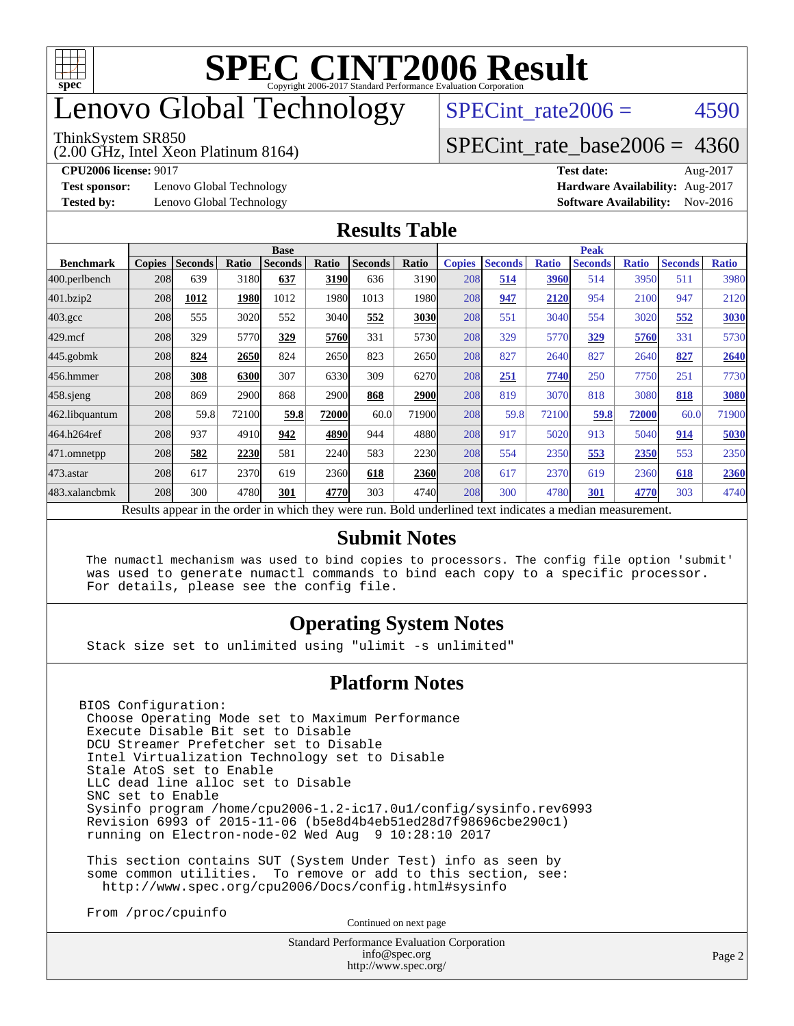

## enovo Global Technology

#### ThinkSystem SR850

(2.00 GHz, Intel Xeon Platinum 8164)

SPECint rate $2006 = 4590$ 

### [SPECint\\_rate\\_base2006 =](http://www.spec.org/auto/cpu2006/Docs/result-fields.html#SPECintratebase2006) 4360

**[Test sponsor:](http://www.spec.org/auto/cpu2006/Docs/result-fields.html#Testsponsor)** Lenovo Global Technology **[Hardware Availability:](http://www.spec.org/auto/cpu2006/Docs/result-fields.html#HardwareAvailability)** Aug-2017

**[CPU2006 license:](http://www.spec.org/auto/cpu2006/Docs/result-fields.html#CPU2006license)** 9017 **[Test date:](http://www.spec.org/auto/cpu2006/Docs/result-fields.html#Testdate)** Aug-2017 **[Tested by:](http://www.spec.org/auto/cpu2006/Docs/result-fields.html#Testedby)** Lenovo Global Technology **[Software Availability:](http://www.spec.org/auto/cpu2006/Docs/result-fields.html#SoftwareAvailability)** Nov-2016

#### **[Results Table](http://www.spec.org/auto/cpu2006/Docs/result-fields.html#ResultsTable)**

|                    | <b>Base</b>                                                                                              |                |       |                |       |                | <b>Peak</b> |               |                |              |                |              |                |              |
|--------------------|----------------------------------------------------------------------------------------------------------|----------------|-------|----------------|-------|----------------|-------------|---------------|----------------|--------------|----------------|--------------|----------------|--------------|
| <b>Benchmark</b>   | <b>Copies</b>                                                                                            | <b>Seconds</b> | Ratio | <b>Seconds</b> | Ratio | <b>Seconds</b> | Ratio       | <b>Copies</b> | <b>Seconds</b> | <b>Ratio</b> | <b>Seconds</b> | <b>Ratio</b> | <b>Seconds</b> | <b>Ratio</b> |
| 400.perlbench      | 208                                                                                                      | 639            | 3180  | 637            | 3190  | 636            | 3190        | 208           | 514            | 3960         | 514            | 3950         | 511            | 3980         |
| 401.bzip2          | 208                                                                                                      | 1012           | 1980  | 1012           | 1980  | 1013           | 1980l       | 208           | 947            | <u>2120</u>  | 954            | 2100         | 947            | 2120         |
| $403.\mathrm{gcc}$ | 208                                                                                                      | 555            | 3020  | 552            | 3040  | 552            | 3030        | 208           | 551            | 3040         | 554            | 3020         | 552            | 3030         |
| $429$ .mcf         | 208                                                                                                      | 329            | 5770  | 329            | 5760  | 331            | 5730        | 208           | 329            | 5770         | 329            | 5760         | 331            | 5730         |
| $445$ .gobmk       | 208                                                                                                      | 824            | 2650  | 824            | 2650  | 823            | 2650        | 208           | 827            | 2640         | 827            | 2640         | 827            | 2640         |
| 456.hmmer          | 208                                                                                                      | 308            | 6300  | 307            | 6330  | 309            | 6270        | 208           | 251            | 7740         | 250            | 7750         | 251            | 7730         |
| $458$ .sjeng       | 208                                                                                                      | 869            | 2900  | 868            | 2900  | 868            | 2900l       | 208           | 819            | 3070         | 818            | 3080         | 818            | 3080         |
| 462.libquantum     | 208                                                                                                      | 59.8           | 72100 | 59.8           | 72000 | 60.0           | 71900I      | 208           | 59.8           | 72100        | 59.8           | 72000        | 60.0           | 71900        |
| 464.h264ref        | 208                                                                                                      | 937            | 4910  | 942            | 4890  | 944            | 4880        | 208           | 917            | 5020         | 913            | 5040         | 914            | 5030         |
| 471.omnetpp        | 208                                                                                                      | 582            | 2230  | 581            | 2240  | 583            | 2230        | 208           | 554            | 2350         | 553            | 2350         | 553            | 2350         |
| $473$ . astar      | 208                                                                                                      | 617            | 2370  | 619            | 2360  | 618            | 2360        | 208           | 617            | 2370         | 619            | 2360         | 618            | 2360         |
| 483.xalancbmk      | 208                                                                                                      | 300            | 4780  | 301            | 4770  | 303            | 4740        | 208           | 300            | 4780         | 301            | 4770         | 303            | 4740         |
|                    | Results appear in the order in which they were run. Bold underlined text indicates a median measurement. |                |       |                |       |                |             |               |                |              |                |              |                |              |

#### **[Submit Notes](http://www.spec.org/auto/cpu2006/Docs/result-fields.html#SubmitNotes)**

 The numactl mechanism was used to bind copies to processors. The config file option 'submit' was used to generate numactl commands to bind each copy to a specific processor. For details, please see the config file.

### **[Operating System Notes](http://www.spec.org/auto/cpu2006/Docs/result-fields.html#OperatingSystemNotes)**

Stack size set to unlimited using "ulimit -s unlimited"

#### **[Platform Notes](http://www.spec.org/auto/cpu2006/Docs/result-fields.html#PlatformNotes)**

BIOS Configuration: Choose Operating Mode set to Maximum Performance Execute Disable Bit set to Disable DCU Streamer Prefetcher set to Disable Intel Virtualization Technology set to Disable Stale AtoS set to Enable LLC dead line alloc set to Disable SNC set to Enable Sysinfo program /home/cpu2006-1.2-ic17.0u1/config/sysinfo.rev6993 Revision 6993 of 2015-11-06 (b5e8d4b4eb51ed28d7f98696cbe290c1) running on Electron-node-02 Wed Aug 9 10:28:10 2017

 This section contains SUT (System Under Test) info as seen by some common utilities. To remove or add to this section, see: <http://www.spec.org/cpu2006/Docs/config.html#sysinfo>

From /proc/cpuinfo

Continued on next page

Standard Performance Evaluation Corporation [info@spec.org](mailto:info@spec.org) <http://www.spec.org/>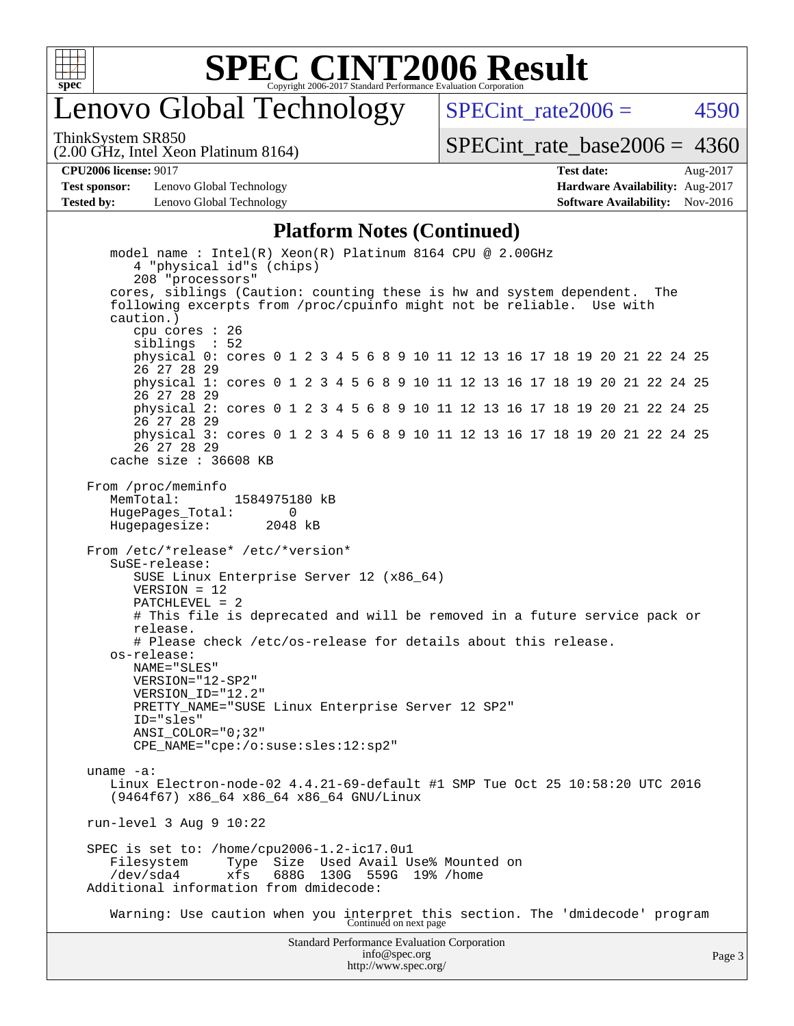

## enovo Global Technology

SPECint rate $2006 = 4590$ 

(2.00 GHz, Intel Xeon Platinum 8164) ThinkSystem SR850

[SPECint\\_rate\\_base2006 =](http://www.spec.org/auto/cpu2006/Docs/result-fields.html#SPECintratebase2006) 4360

**[CPU2006 license:](http://www.spec.org/auto/cpu2006/Docs/result-fields.html#CPU2006license)** 9017 **[Test date:](http://www.spec.org/auto/cpu2006/Docs/result-fields.html#Testdate)** Aug-2017

**[Test sponsor:](http://www.spec.org/auto/cpu2006/Docs/result-fields.html#Testsponsor)** Lenovo Global Technology **[Hardware Availability:](http://www.spec.org/auto/cpu2006/Docs/result-fields.html#HardwareAvailability)** Aug-2017 **[Tested by:](http://www.spec.org/auto/cpu2006/Docs/result-fields.html#Testedby)** Lenovo Global Technology **[Software Availability:](http://www.spec.org/auto/cpu2006/Docs/result-fields.html#SoftwareAvailability)** Nov-2016

## **[Platform Notes \(Continued\)](http://www.spec.org/auto/cpu2006/Docs/result-fields.html#PlatformNotes)**

Standard Performance Evaluation Corporation [info@spec.org](mailto:info@spec.org) <http://www.spec.org/> Page 3 model name : Intel(R) Xeon(R) Platinum 8164 CPU @ 2.00GHz 4 "physical id"s (chips) 208 "processors" cores, siblings (Caution: counting these is hw and system dependent. The following excerpts from /proc/cpuinfo might not be reliable. Use with caution.) cpu cores : 26 siblings : 52 physical 0: cores 0 1 2 3 4 5 6 8 9 10 11 12 13 16 17 18 19 20 21 22 24 25 26 27 28 29 physical 1: cores 0 1 2 3 4 5 6 8 9 10 11 12 13 16 17 18 19 20 21 22 24 25 26 27 28 29 physical 2: cores 0 1 2 3 4 5 6 8 9 10 11 12 13 16 17 18 19 20 21 22 24 25 26 27 28 29 physical 3: cores 0 1 2 3 4 5 6 8 9 10 11 12 13 16 17 18 19 20 21 22 24 25 26 27 28 29 cache size : 36608 KB From /proc/meminfo<br>MemTotal: 1584975180 kB HugePages\_Total: 0 Hugepagesize: 2048 kB From /etc/\*release\* /etc/\*version\* SuSE-release: SUSE Linux Enterprise Server 12 (x86\_64) VERSION = 12 PATCHLEVEL = 2 # This file is deprecated and will be removed in a future service pack or release. # Please check /etc/os-release for details about this release. os-release: NAME="SLES" VERSION="12-SP2" VERSION\_ID="12.2" PRETTY\_NAME="SUSE Linux Enterprise Server 12 SP2" ID="sles" ANSI\_COLOR="0;32" CPE\_NAME="cpe:/o:suse:sles:12:sp2" uname -a: Linux Electron-node-02 4.4.21-69-default #1 SMP Tue Oct 25 10:58:20 UTC 2016 (9464f67) x86\_64 x86\_64 x86\_64 GNU/Linux run-level 3 Aug 9 10:22 SPEC is set to: /home/cpu2006-1.2-ic17.0u1 Filesystem Type Size Used Avail Use% Mounted on /dev/sda4 xfs 688G 130G 559G 19% /home Additional information from dmidecode: Warning: Use caution when you interpret this section. The 'dmidecode' program Continued on next page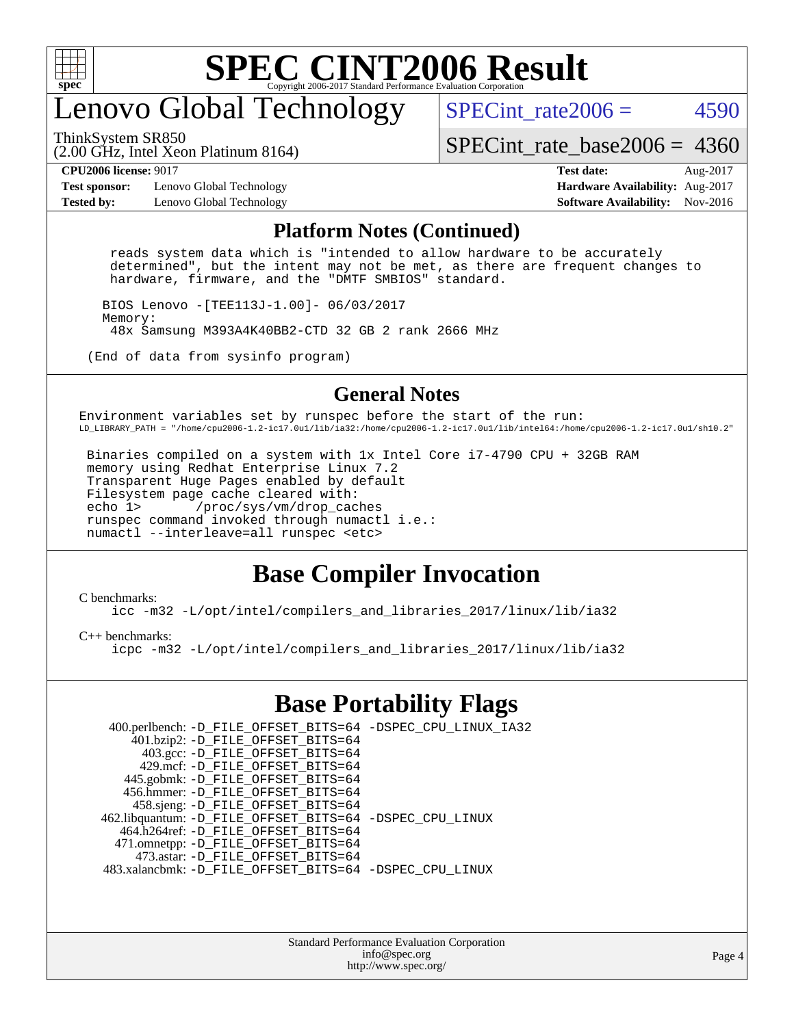

# enovo Global Technology

ThinkSystem SR850

SPECint rate $2006 = 4590$ 

(2.00 GHz, Intel Xeon Platinum 8164)

[SPECint\\_rate\\_base2006 =](http://www.spec.org/auto/cpu2006/Docs/result-fields.html#SPECintratebase2006) 4360

**[Test sponsor:](http://www.spec.org/auto/cpu2006/Docs/result-fields.html#Testsponsor)** Lenovo Global Technology **[Hardware Availability:](http://www.spec.org/auto/cpu2006/Docs/result-fields.html#HardwareAvailability)** Aug-2017

**[CPU2006 license:](http://www.spec.org/auto/cpu2006/Docs/result-fields.html#CPU2006license)** 9017 **[Test date:](http://www.spec.org/auto/cpu2006/Docs/result-fields.html#Testdate)** Aug-2017 **[Tested by:](http://www.spec.org/auto/cpu2006/Docs/result-fields.html#Testedby)** Lenovo Global Technology **[Software Availability:](http://www.spec.org/auto/cpu2006/Docs/result-fields.html#SoftwareAvailability)** Nov-2016

#### **[Platform Notes \(Continued\)](http://www.spec.org/auto/cpu2006/Docs/result-fields.html#PlatformNotes)**

 reads system data which is "intended to allow hardware to be accurately determined", but the intent may not be met, as there are frequent changes to hardware, firmware, and the "DMTF SMBIOS" standard.

 BIOS Lenovo -[TEE113J-1.00]- 06/03/2017 Memory: 48x Samsung M393A4K40BB2-CTD 32 GB 2 rank 2666 MHz

(End of data from sysinfo program)

### **[General Notes](http://www.spec.org/auto/cpu2006/Docs/result-fields.html#GeneralNotes)**

Environment variables set by runspec before the start of the run: LD\_LIBRARY\_PATH = "/home/cpu2006-1.2-ic17.0u1/lib/ia32:/home/cpu2006-1.2-ic17.0u1/lib/intel64:/home/cpu2006-1.2-ic17.0u1/sh10.2"

 Binaries compiled on a system with 1x Intel Core i7-4790 CPU + 32GB RAM memory using Redhat Enterprise Linux 7.2 Transparent Huge Pages enabled by default Filesystem page cache cleared with:<br>echo 1> /proc/sys/vm/drop cac /proc/sys/vm/drop\_caches runspec command invoked through numactl i.e.: numactl --interleave=all runspec <etc>

### **[Base Compiler Invocation](http://www.spec.org/auto/cpu2006/Docs/result-fields.html#BaseCompilerInvocation)**

#### [C benchmarks](http://www.spec.org/auto/cpu2006/Docs/result-fields.html#Cbenchmarks):

[icc -m32 -L/opt/intel/compilers\\_and\\_libraries\\_2017/linux/lib/ia32](http://www.spec.org/cpu2006/results/res2017q4/cpu2006-20170918-49971.flags.html#user_CCbase_intel_icc_c29f3ff5a7ed067b11e4ec10a03f03ae)

[C++ benchmarks:](http://www.spec.org/auto/cpu2006/Docs/result-fields.html#CXXbenchmarks)

[icpc -m32 -L/opt/intel/compilers\\_and\\_libraries\\_2017/linux/lib/ia32](http://www.spec.org/cpu2006/results/res2017q4/cpu2006-20170918-49971.flags.html#user_CXXbase_intel_icpc_8c35c7808b62dab9ae41a1aa06361b6b)

### **[Base Portability Flags](http://www.spec.org/auto/cpu2006/Docs/result-fields.html#BasePortabilityFlags)**

| 400.perlbench: -D_FILE_OFFSET_BITS=64 -DSPEC_CPU_LINUX_IA32 |
|-------------------------------------------------------------|
|                                                             |
|                                                             |
|                                                             |
|                                                             |
|                                                             |
|                                                             |
| 462.libquantum: -D_FILE_OFFSET_BITS=64 -DSPEC_CPU_LINUX     |
|                                                             |
|                                                             |
|                                                             |
| 483.xalancbmk: -D_FILE_OFFSET_BITS=64 -DSPEC_CPU_LINUX      |
|                                                             |

Standard Performance Evaluation Corporation [info@spec.org](mailto:info@spec.org) <http://www.spec.org/>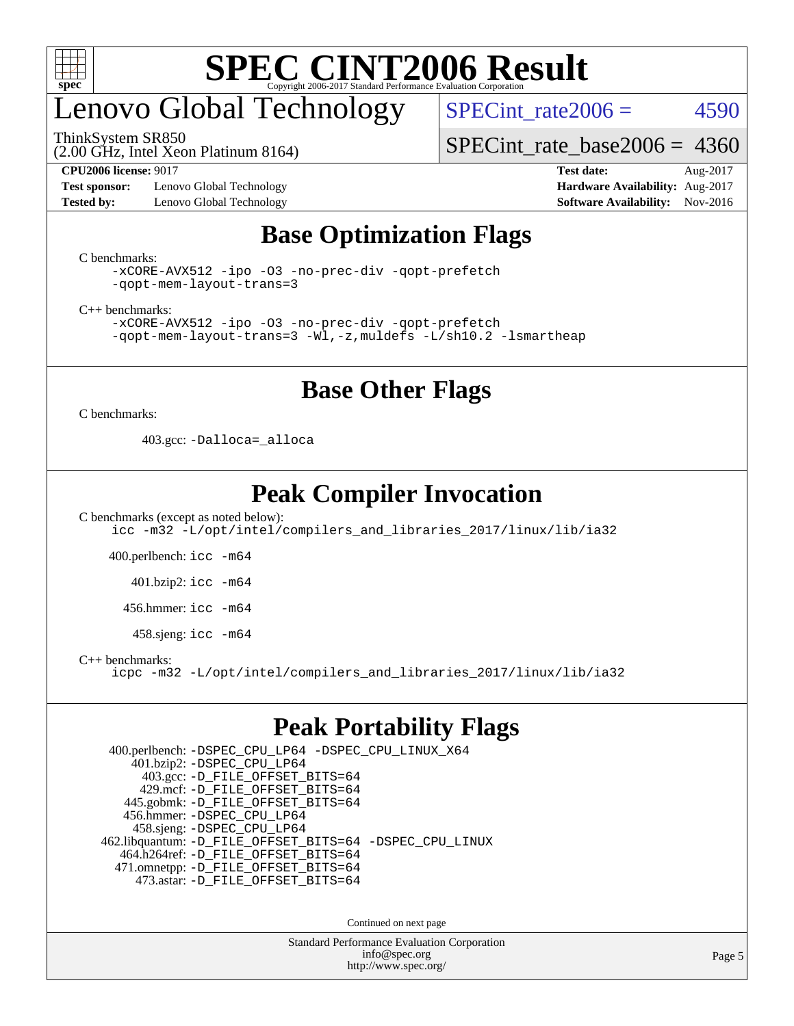

# enovo Global Technology

ThinkSystem SR850

SPECint rate $2006 = 4590$ 

[SPECint\\_rate\\_base2006 =](http://www.spec.org/auto/cpu2006/Docs/result-fields.html#SPECintratebase2006) 4360

### (2.00 GHz, Intel Xeon Platinum 8164)

**[Test sponsor:](http://www.spec.org/auto/cpu2006/Docs/result-fields.html#Testsponsor)** Lenovo Global Technology **[Hardware Availability:](http://www.spec.org/auto/cpu2006/Docs/result-fields.html#HardwareAvailability)** Aug-2017 **[Tested by:](http://www.spec.org/auto/cpu2006/Docs/result-fields.html#Testedby)** Lenovo Global Technology **[Software Availability:](http://www.spec.org/auto/cpu2006/Docs/result-fields.html#SoftwareAvailability)** Nov-2016

**[CPU2006 license:](http://www.spec.org/auto/cpu2006/Docs/result-fields.html#CPU2006license)** 9017 **[Test date:](http://www.spec.org/auto/cpu2006/Docs/result-fields.html#Testdate)** Aug-2017

### **[Base Optimization Flags](http://www.spec.org/auto/cpu2006/Docs/result-fields.html#BaseOptimizationFlags)**

[C benchmarks](http://www.spec.org/auto/cpu2006/Docs/result-fields.html#Cbenchmarks):

```
-xCORE-AVX512 -ipo -O3 -no-prec-div -qopt-prefetch
-qopt-mem-layout-trans=3
```
[C++ benchmarks:](http://www.spec.org/auto/cpu2006/Docs/result-fields.html#CXXbenchmarks)

[-xCORE-AVX512](http://www.spec.org/cpu2006/results/res2017q4/cpu2006-20170918-49971.flags.html#user_CXXbase_f-xCORE-AVX512) [-ipo](http://www.spec.org/cpu2006/results/res2017q4/cpu2006-20170918-49971.flags.html#user_CXXbase_f-ipo) [-O3](http://www.spec.org/cpu2006/results/res2017q4/cpu2006-20170918-49971.flags.html#user_CXXbase_f-O3) [-no-prec-div](http://www.spec.org/cpu2006/results/res2017q4/cpu2006-20170918-49971.flags.html#user_CXXbase_f-no-prec-div) [-qopt-prefetch](http://www.spec.org/cpu2006/results/res2017q4/cpu2006-20170918-49971.flags.html#user_CXXbase_f-qopt-prefetch) [-qopt-mem-layout-trans=3](http://www.spec.org/cpu2006/results/res2017q4/cpu2006-20170918-49971.flags.html#user_CXXbase_f-qopt-mem-layout-trans_170f5be61cd2cedc9b54468c59262d5d) [-Wl,-z,muldefs](http://www.spec.org/cpu2006/results/res2017q4/cpu2006-20170918-49971.flags.html#user_CXXbase_link_force_multiple1_74079c344b956b9658436fd1b6dd3a8a) [-L/sh10.2 -lsmartheap](http://www.spec.org/cpu2006/results/res2017q4/cpu2006-20170918-49971.flags.html#user_CXXbase_SmartHeap_b831f2d313e2fffa6dfe3f00ffc1f1c0)

### **[Base Other Flags](http://www.spec.org/auto/cpu2006/Docs/result-fields.html#BaseOtherFlags)**

[C benchmarks](http://www.spec.org/auto/cpu2006/Docs/result-fields.html#Cbenchmarks):

403.gcc: [-Dalloca=\\_alloca](http://www.spec.org/cpu2006/results/res2017q4/cpu2006-20170918-49971.flags.html#b403.gcc_baseEXTRA_CFLAGS_Dalloca_be3056838c12de2578596ca5467af7f3)

### **[Peak Compiler Invocation](http://www.spec.org/auto/cpu2006/Docs/result-fields.html#PeakCompilerInvocation)**

[C benchmarks \(except as noted below\)](http://www.spec.org/auto/cpu2006/Docs/result-fields.html#Cbenchmarksexceptasnotedbelow): [icc -m32 -L/opt/intel/compilers\\_and\\_libraries\\_2017/linux/lib/ia32](http://www.spec.org/cpu2006/results/res2017q4/cpu2006-20170918-49971.flags.html#user_CCpeak_intel_icc_c29f3ff5a7ed067b11e4ec10a03f03ae)

400.perlbench: [icc -m64](http://www.spec.org/cpu2006/results/res2017q4/cpu2006-20170918-49971.flags.html#user_peakCCLD400_perlbench_intel_icc_64bit_bda6cc9af1fdbb0edc3795bac97ada53)

401.bzip2: [icc -m64](http://www.spec.org/cpu2006/results/res2017q4/cpu2006-20170918-49971.flags.html#user_peakCCLD401_bzip2_intel_icc_64bit_bda6cc9af1fdbb0edc3795bac97ada53)

456.hmmer: [icc -m64](http://www.spec.org/cpu2006/results/res2017q4/cpu2006-20170918-49971.flags.html#user_peakCCLD456_hmmer_intel_icc_64bit_bda6cc9af1fdbb0edc3795bac97ada53)

458.sjeng: [icc -m64](http://www.spec.org/cpu2006/results/res2017q4/cpu2006-20170918-49971.flags.html#user_peakCCLD458_sjeng_intel_icc_64bit_bda6cc9af1fdbb0edc3795bac97ada53)

[C++ benchmarks:](http://www.spec.org/auto/cpu2006/Docs/result-fields.html#CXXbenchmarks)

[icpc -m32 -L/opt/intel/compilers\\_and\\_libraries\\_2017/linux/lib/ia32](http://www.spec.org/cpu2006/results/res2017q4/cpu2006-20170918-49971.flags.html#user_CXXpeak_intel_icpc_8c35c7808b62dab9ae41a1aa06361b6b)

### **[Peak Portability Flags](http://www.spec.org/auto/cpu2006/Docs/result-fields.html#PeakPortabilityFlags)**

 400.perlbench: [-DSPEC\\_CPU\\_LP64](http://www.spec.org/cpu2006/results/res2017q4/cpu2006-20170918-49971.flags.html#b400.perlbench_peakCPORTABILITY_DSPEC_CPU_LP64) [-DSPEC\\_CPU\\_LINUX\\_X64](http://www.spec.org/cpu2006/results/res2017q4/cpu2006-20170918-49971.flags.html#b400.perlbench_peakCPORTABILITY_DSPEC_CPU_LINUX_X64) 401.bzip2: [-DSPEC\\_CPU\\_LP64](http://www.spec.org/cpu2006/results/res2017q4/cpu2006-20170918-49971.flags.html#suite_peakCPORTABILITY401_bzip2_DSPEC_CPU_LP64) 403.gcc: [-D\\_FILE\\_OFFSET\\_BITS=64](http://www.spec.org/cpu2006/results/res2017q4/cpu2006-20170918-49971.flags.html#user_peakPORTABILITY403_gcc_file_offset_bits_64_438cf9856305ebd76870a2c6dc2689ab) 429.mcf: [-D\\_FILE\\_OFFSET\\_BITS=64](http://www.spec.org/cpu2006/results/res2017q4/cpu2006-20170918-49971.flags.html#user_peakPORTABILITY429_mcf_file_offset_bits_64_438cf9856305ebd76870a2c6dc2689ab) 445.gobmk: [-D\\_FILE\\_OFFSET\\_BITS=64](http://www.spec.org/cpu2006/results/res2017q4/cpu2006-20170918-49971.flags.html#user_peakPORTABILITY445_gobmk_file_offset_bits_64_438cf9856305ebd76870a2c6dc2689ab) 456.hmmer: [-DSPEC\\_CPU\\_LP64](http://www.spec.org/cpu2006/results/res2017q4/cpu2006-20170918-49971.flags.html#suite_peakCPORTABILITY456_hmmer_DSPEC_CPU_LP64) 458.sjeng: [-DSPEC\\_CPU\\_LP64](http://www.spec.org/cpu2006/results/res2017q4/cpu2006-20170918-49971.flags.html#suite_peakCPORTABILITY458_sjeng_DSPEC_CPU_LP64) 462.libquantum: [-D\\_FILE\\_OFFSET\\_BITS=64](http://www.spec.org/cpu2006/results/res2017q4/cpu2006-20170918-49971.flags.html#user_peakPORTABILITY462_libquantum_file_offset_bits_64_438cf9856305ebd76870a2c6dc2689ab) [-DSPEC\\_CPU\\_LINUX](http://www.spec.org/cpu2006/results/res2017q4/cpu2006-20170918-49971.flags.html#b462.libquantum_peakCPORTABILITY_DSPEC_CPU_LINUX) 464.h264ref: [-D\\_FILE\\_OFFSET\\_BITS=64](http://www.spec.org/cpu2006/results/res2017q4/cpu2006-20170918-49971.flags.html#user_peakPORTABILITY464_h264ref_file_offset_bits_64_438cf9856305ebd76870a2c6dc2689ab) 471.omnetpp: [-D\\_FILE\\_OFFSET\\_BITS=64](http://www.spec.org/cpu2006/results/res2017q4/cpu2006-20170918-49971.flags.html#user_peakPORTABILITY471_omnetpp_file_offset_bits_64_438cf9856305ebd76870a2c6dc2689ab) 473.astar: [-D\\_FILE\\_OFFSET\\_BITS=64](http://www.spec.org/cpu2006/results/res2017q4/cpu2006-20170918-49971.flags.html#user_peakPORTABILITY473_astar_file_offset_bits_64_438cf9856305ebd76870a2c6dc2689ab)

Continued on next page

Standard Performance Evaluation Corporation [info@spec.org](mailto:info@spec.org) <http://www.spec.org/>

Page 5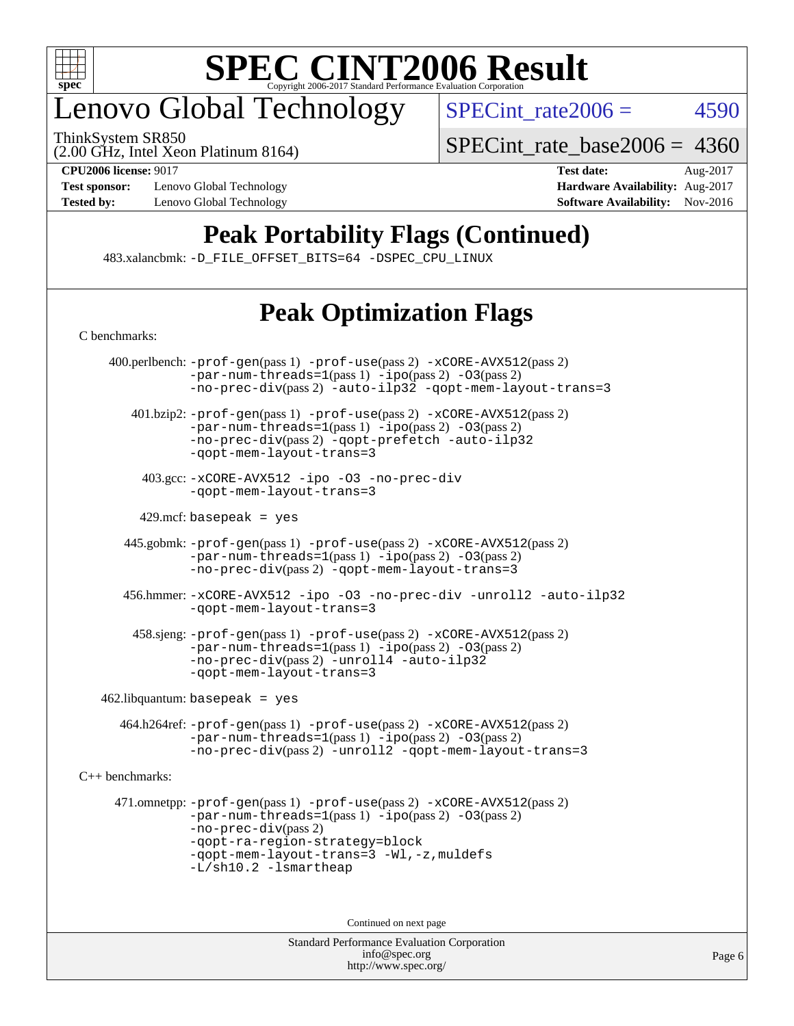

# enovo Global Technology

(2.00 GHz, Intel Xeon Platinum 8164) ThinkSystem SR850

SPECint rate $2006 = 4590$ 

[SPECint\\_rate\\_base2006 =](http://www.spec.org/auto/cpu2006/Docs/result-fields.html#SPECintratebase2006) 4360

**[Test sponsor:](http://www.spec.org/auto/cpu2006/Docs/result-fields.html#Testsponsor)** Lenovo Global Technology **[Hardware Availability:](http://www.spec.org/auto/cpu2006/Docs/result-fields.html#HardwareAvailability)** Aug-2017 **[Tested by:](http://www.spec.org/auto/cpu2006/Docs/result-fields.html#Testedby)** Lenovo Global Technology **[Software Availability:](http://www.spec.org/auto/cpu2006/Docs/result-fields.html#SoftwareAvailability)** Nov-2016

**[CPU2006 license:](http://www.spec.org/auto/cpu2006/Docs/result-fields.html#CPU2006license)** 9017 **[Test date:](http://www.spec.org/auto/cpu2006/Docs/result-fields.html#Testdate)** Aug-2017

## **[Peak Portability Flags \(Continued\)](http://www.spec.org/auto/cpu2006/Docs/result-fields.html#PeakPortabilityFlags)**

483.xalancbmk: [-D\\_FILE\\_OFFSET\\_BITS=64](http://www.spec.org/cpu2006/results/res2017q4/cpu2006-20170918-49971.flags.html#user_peakPORTABILITY483_xalancbmk_file_offset_bits_64_438cf9856305ebd76870a2c6dc2689ab) [-DSPEC\\_CPU\\_LINUX](http://www.spec.org/cpu2006/results/res2017q4/cpu2006-20170918-49971.flags.html#b483.xalancbmk_peakCXXPORTABILITY_DSPEC_CPU_LINUX)

## **[Peak Optimization Flags](http://www.spec.org/auto/cpu2006/Docs/result-fields.html#PeakOptimizationFlags)**

Standard Performance Evaluation Corporation [C benchmarks](http://www.spec.org/auto/cpu2006/Docs/result-fields.html#Cbenchmarks): 400.perlbench: [-prof-gen](http://www.spec.org/cpu2006/results/res2017q4/cpu2006-20170918-49971.flags.html#user_peakPASS1_CFLAGSPASS1_LDCFLAGS400_perlbench_prof_gen_e43856698f6ca7b7e442dfd80e94a8fc)(pass 1) [-prof-use](http://www.spec.org/cpu2006/results/res2017q4/cpu2006-20170918-49971.flags.html#user_peakPASS2_CFLAGSPASS2_LDCFLAGS400_perlbench_prof_use_bccf7792157ff70d64e32fe3e1250b55)(pass 2) [-xCORE-AVX512](http://www.spec.org/cpu2006/results/res2017q4/cpu2006-20170918-49971.flags.html#user_peakPASS2_CFLAGSPASS2_LDCFLAGS400_perlbench_f-xCORE-AVX512)(pass 2)  $-par-num-threads=1(pass 1) -ipo(pass 2) -O3(pass 2)$  $-par-num-threads=1(pass 1) -ipo(pass 2) -O3(pass 2)$  $-par-num-threads=1(pass 1) -ipo(pass 2) -O3(pass 2)$  $-par-num-threads=1(pass 1) -ipo(pass 2) -O3(pass 2)$  $-par-num-threads=1(pass 1) -ipo(pass 2) -O3(pass 2)$  $-par-num-threads=1(pass 1) -ipo(pass 2) -O3(pass 2)$ [-no-prec-div](http://www.spec.org/cpu2006/results/res2017q4/cpu2006-20170918-49971.flags.html#user_peakPASS2_CFLAGSPASS2_LDCFLAGS400_perlbench_f-no-prec-div)(pass 2) [-auto-ilp32](http://www.spec.org/cpu2006/results/res2017q4/cpu2006-20170918-49971.flags.html#user_peakCOPTIMIZE400_perlbench_f-auto-ilp32) [-qopt-mem-layout-trans=3](http://www.spec.org/cpu2006/results/res2017q4/cpu2006-20170918-49971.flags.html#user_peakCOPTIMIZE400_perlbench_f-qopt-mem-layout-trans_170f5be61cd2cedc9b54468c59262d5d) 401.bzip2: [-prof-gen](http://www.spec.org/cpu2006/results/res2017q4/cpu2006-20170918-49971.flags.html#user_peakPASS1_CFLAGSPASS1_LDCFLAGS401_bzip2_prof_gen_e43856698f6ca7b7e442dfd80e94a8fc)(pass 1) [-prof-use](http://www.spec.org/cpu2006/results/res2017q4/cpu2006-20170918-49971.flags.html#user_peakPASS2_CFLAGSPASS2_LDCFLAGS401_bzip2_prof_use_bccf7792157ff70d64e32fe3e1250b55)(pass 2) [-xCORE-AVX512](http://www.spec.org/cpu2006/results/res2017q4/cpu2006-20170918-49971.flags.html#user_peakPASS2_CFLAGSPASS2_LDCFLAGS401_bzip2_f-xCORE-AVX512)(pass 2) [-par-num-threads=1](http://www.spec.org/cpu2006/results/res2017q4/cpu2006-20170918-49971.flags.html#user_peakPASS1_CFLAGSPASS1_LDCFLAGS401_bzip2_par_num_threads_786a6ff141b4e9e90432e998842df6c2)(pass 1) [-ipo](http://www.spec.org/cpu2006/results/res2017q4/cpu2006-20170918-49971.flags.html#user_peakPASS2_CFLAGSPASS2_LDCFLAGS401_bzip2_f-ipo)(pass 2) [-O3](http://www.spec.org/cpu2006/results/res2017q4/cpu2006-20170918-49971.flags.html#user_peakPASS2_CFLAGSPASS2_LDCFLAGS401_bzip2_f-O3)(pass 2) [-no-prec-div](http://www.spec.org/cpu2006/results/res2017q4/cpu2006-20170918-49971.flags.html#user_peakPASS2_CFLAGSPASS2_LDCFLAGS401_bzip2_f-no-prec-div)(pass 2) [-qopt-prefetch](http://www.spec.org/cpu2006/results/res2017q4/cpu2006-20170918-49971.flags.html#user_peakCOPTIMIZE401_bzip2_f-qopt-prefetch) [-auto-ilp32](http://www.spec.org/cpu2006/results/res2017q4/cpu2006-20170918-49971.flags.html#user_peakCOPTIMIZE401_bzip2_f-auto-ilp32) [-qopt-mem-layout-trans=3](http://www.spec.org/cpu2006/results/res2017q4/cpu2006-20170918-49971.flags.html#user_peakCOPTIMIZE401_bzip2_f-qopt-mem-layout-trans_170f5be61cd2cedc9b54468c59262d5d) 403.gcc: [-xCORE-AVX512](http://www.spec.org/cpu2006/results/res2017q4/cpu2006-20170918-49971.flags.html#user_peakOPTIMIZE403_gcc_f-xCORE-AVX512) [-ipo](http://www.spec.org/cpu2006/results/res2017q4/cpu2006-20170918-49971.flags.html#user_peakOPTIMIZE403_gcc_f-ipo) [-O3](http://www.spec.org/cpu2006/results/res2017q4/cpu2006-20170918-49971.flags.html#user_peakOPTIMIZE403_gcc_f-O3) [-no-prec-div](http://www.spec.org/cpu2006/results/res2017q4/cpu2006-20170918-49971.flags.html#user_peakOPTIMIZE403_gcc_f-no-prec-div) [-qopt-mem-layout-trans=3](http://www.spec.org/cpu2006/results/res2017q4/cpu2006-20170918-49971.flags.html#user_peakCOPTIMIZE403_gcc_f-qopt-mem-layout-trans_170f5be61cd2cedc9b54468c59262d5d)  $429$ .mcf: basepeak = yes 445.gobmk: [-prof-gen](http://www.spec.org/cpu2006/results/res2017q4/cpu2006-20170918-49971.flags.html#user_peakPASS1_CFLAGSPASS1_LDCFLAGS445_gobmk_prof_gen_e43856698f6ca7b7e442dfd80e94a8fc)(pass 1) [-prof-use](http://www.spec.org/cpu2006/results/res2017q4/cpu2006-20170918-49971.flags.html#user_peakPASS2_CFLAGSPASS2_LDCFLAGSPASS2_LDFLAGS445_gobmk_prof_use_bccf7792157ff70d64e32fe3e1250b55)(pass 2) [-xCORE-AVX512](http://www.spec.org/cpu2006/results/res2017q4/cpu2006-20170918-49971.flags.html#user_peakPASS2_CFLAGSPASS2_LDCFLAGSPASS2_LDFLAGS445_gobmk_f-xCORE-AVX512)(pass 2)  $-par-num-threads=1(pass 1) -ipo(pass 2) -O3(pass 2)$  $-par-num-threads=1(pass 1) -ipo(pass 2) -O3(pass 2)$  $-par-num-threads=1(pass 1) -ipo(pass 2) -O3(pass 2)$  $-par-num-threads=1(pass 1) -ipo(pass 2) -O3(pass 2)$  $-par-num-threads=1(pass 1) -ipo(pass 2) -O3(pass 2)$  $-par-num-threads=1(pass 1) -ipo(pass 2) -O3(pass 2)$ [-no-prec-div](http://www.spec.org/cpu2006/results/res2017q4/cpu2006-20170918-49971.flags.html#user_peakPASS2_LDCFLAGS445_gobmk_f-no-prec-div)(pass 2) [-qopt-mem-layout-trans=3](http://www.spec.org/cpu2006/results/res2017q4/cpu2006-20170918-49971.flags.html#user_peakCOPTIMIZE445_gobmk_f-qopt-mem-layout-trans_170f5be61cd2cedc9b54468c59262d5d) 456.hmmer: [-xCORE-AVX512](http://www.spec.org/cpu2006/results/res2017q4/cpu2006-20170918-49971.flags.html#user_peakOPTIMIZE456_hmmer_f-xCORE-AVX512) [-ipo](http://www.spec.org/cpu2006/results/res2017q4/cpu2006-20170918-49971.flags.html#user_peakOPTIMIZE456_hmmer_f-ipo) [-O3](http://www.spec.org/cpu2006/results/res2017q4/cpu2006-20170918-49971.flags.html#user_peakOPTIMIZE456_hmmer_f-O3) [-no-prec-div](http://www.spec.org/cpu2006/results/res2017q4/cpu2006-20170918-49971.flags.html#user_peakOPTIMIZE456_hmmer_f-no-prec-div) [-unroll2](http://www.spec.org/cpu2006/results/res2017q4/cpu2006-20170918-49971.flags.html#user_peakCOPTIMIZE456_hmmer_f-unroll_784dae83bebfb236979b41d2422d7ec2) [-auto-ilp32](http://www.spec.org/cpu2006/results/res2017q4/cpu2006-20170918-49971.flags.html#user_peakCOPTIMIZE456_hmmer_f-auto-ilp32) [-qopt-mem-layout-trans=3](http://www.spec.org/cpu2006/results/res2017q4/cpu2006-20170918-49971.flags.html#user_peakCOPTIMIZE456_hmmer_f-qopt-mem-layout-trans_170f5be61cd2cedc9b54468c59262d5d) 458.sjeng: [-prof-gen](http://www.spec.org/cpu2006/results/res2017q4/cpu2006-20170918-49971.flags.html#user_peakPASS1_CFLAGSPASS1_LDCFLAGS458_sjeng_prof_gen_e43856698f6ca7b7e442dfd80e94a8fc)(pass 1) [-prof-use](http://www.spec.org/cpu2006/results/res2017q4/cpu2006-20170918-49971.flags.html#user_peakPASS2_CFLAGSPASS2_LDCFLAGS458_sjeng_prof_use_bccf7792157ff70d64e32fe3e1250b55)(pass 2) [-xCORE-AVX512](http://www.spec.org/cpu2006/results/res2017q4/cpu2006-20170918-49971.flags.html#user_peakPASS2_CFLAGSPASS2_LDCFLAGS458_sjeng_f-xCORE-AVX512)(pass 2) [-par-num-threads=1](http://www.spec.org/cpu2006/results/res2017q4/cpu2006-20170918-49971.flags.html#user_peakPASS1_CFLAGSPASS1_LDCFLAGS458_sjeng_par_num_threads_786a6ff141b4e9e90432e998842df6c2)(pass 1) [-ipo](http://www.spec.org/cpu2006/results/res2017q4/cpu2006-20170918-49971.flags.html#user_peakPASS2_CFLAGSPASS2_LDCFLAGS458_sjeng_f-ipo)(pass 2) [-O3](http://www.spec.org/cpu2006/results/res2017q4/cpu2006-20170918-49971.flags.html#user_peakPASS2_CFLAGSPASS2_LDCFLAGS458_sjeng_f-O3)(pass 2) [-no-prec-div](http://www.spec.org/cpu2006/results/res2017q4/cpu2006-20170918-49971.flags.html#user_peakPASS2_CFLAGSPASS2_LDCFLAGS458_sjeng_f-no-prec-div)(pass 2) [-unroll4](http://www.spec.org/cpu2006/results/res2017q4/cpu2006-20170918-49971.flags.html#user_peakCOPTIMIZE458_sjeng_f-unroll_4e5e4ed65b7fd20bdcd365bec371b81f) [-auto-ilp32](http://www.spec.org/cpu2006/results/res2017q4/cpu2006-20170918-49971.flags.html#user_peakCOPTIMIZE458_sjeng_f-auto-ilp32) [-qopt-mem-layout-trans=3](http://www.spec.org/cpu2006/results/res2017q4/cpu2006-20170918-49971.flags.html#user_peakCOPTIMIZE458_sjeng_f-qopt-mem-layout-trans_170f5be61cd2cedc9b54468c59262d5d)  $462$ .libquantum: basepeak = yes 464.h264ref: [-prof-gen](http://www.spec.org/cpu2006/results/res2017q4/cpu2006-20170918-49971.flags.html#user_peakPASS1_CFLAGSPASS1_LDCFLAGS464_h264ref_prof_gen_e43856698f6ca7b7e442dfd80e94a8fc)(pass 1) [-prof-use](http://www.spec.org/cpu2006/results/res2017q4/cpu2006-20170918-49971.flags.html#user_peakPASS2_CFLAGSPASS2_LDCFLAGS464_h264ref_prof_use_bccf7792157ff70d64e32fe3e1250b55)(pass 2) [-xCORE-AVX512](http://www.spec.org/cpu2006/results/res2017q4/cpu2006-20170918-49971.flags.html#user_peakPASS2_CFLAGSPASS2_LDCFLAGS464_h264ref_f-xCORE-AVX512)(pass 2) [-par-num-threads=1](http://www.spec.org/cpu2006/results/res2017q4/cpu2006-20170918-49971.flags.html#user_peakPASS1_CFLAGSPASS1_LDCFLAGS464_h264ref_par_num_threads_786a6ff141b4e9e90432e998842df6c2)(pass 1) [-ipo](http://www.spec.org/cpu2006/results/res2017q4/cpu2006-20170918-49971.flags.html#user_peakPASS2_CFLAGSPASS2_LDCFLAGS464_h264ref_f-ipo)(pass 2) [-O3](http://www.spec.org/cpu2006/results/res2017q4/cpu2006-20170918-49971.flags.html#user_peakPASS2_CFLAGSPASS2_LDCFLAGS464_h264ref_f-O3)(pass 2) [-no-prec-div](http://www.spec.org/cpu2006/results/res2017q4/cpu2006-20170918-49971.flags.html#user_peakPASS2_CFLAGSPASS2_LDCFLAGS464_h264ref_f-no-prec-div)(pass 2) [-unroll2](http://www.spec.org/cpu2006/results/res2017q4/cpu2006-20170918-49971.flags.html#user_peakCOPTIMIZE464_h264ref_f-unroll_784dae83bebfb236979b41d2422d7ec2) [-qopt-mem-layout-trans=3](http://www.spec.org/cpu2006/results/res2017q4/cpu2006-20170918-49971.flags.html#user_peakCOPTIMIZE464_h264ref_f-qopt-mem-layout-trans_170f5be61cd2cedc9b54468c59262d5d) [C++ benchmarks:](http://www.spec.org/auto/cpu2006/Docs/result-fields.html#CXXbenchmarks) 471.omnetpp: [-prof-gen](http://www.spec.org/cpu2006/results/res2017q4/cpu2006-20170918-49971.flags.html#user_peakPASS1_CXXFLAGSPASS1_LDCXXFLAGS471_omnetpp_prof_gen_e43856698f6ca7b7e442dfd80e94a8fc)(pass 1) [-prof-use](http://www.spec.org/cpu2006/results/res2017q4/cpu2006-20170918-49971.flags.html#user_peakPASS2_CXXFLAGSPASS2_LDCXXFLAGS471_omnetpp_prof_use_bccf7792157ff70d64e32fe3e1250b55)(pass 2) [-xCORE-AVX512](http://www.spec.org/cpu2006/results/res2017q4/cpu2006-20170918-49971.flags.html#user_peakPASS2_CXXFLAGSPASS2_LDCXXFLAGS471_omnetpp_f-xCORE-AVX512)(pass 2) [-par-num-threads=1](http://www.spec.org/cpu2006/results/res2017q4/cpu2006-20170918-49971.flags.html#user_peakPASS1_CXXFLAGSPASS1_LDCXXFLAGS471_omnetpp_par_num_threads_786a6ff141b4e9e90432e998842df6c2)(pass 1) [-ipo](http://www.spec.org/cpu2006/results/res2017q4/cpu2006-20170918-49971.flags.html#user_peakPASS2_CXXFLAGSPASS2_LDCXXFLAGS471_omnetpp_f-ipo)(pass 2) [-O3](http://www.spec.org/cpu2006/results/res2017q4/cpu2006-20170918-49971.flags.html#user_peakPASS2_CXXFLAGSPASS2_LDCXXFLAGS471_omnetpp_f-O3)(pass 2) [-no-prec-div](http://www.spec.org/cpu2006/results/res2017q4/cpu2006-20170918-49971.flags.html#user_peakPASS2_CXXFLAGSPASS2_LDCXXFLAGS471_omnetpp_f-no-prec-div)(pass 2) [-qopt-ra-region-strategy=block](http://www.spec.org/cpu2006/results/res2017q4/cpu2006-20170918-49971.flags.html#user_peakCXXOPTIMIZE471_omnetpp_f-qopt-ra-region-strategy_430aa8f7c220cbde92ae827fa8d9be32)  [-qopt-mem-layout-trans=3](http://www.spec.org/cpu2006/results/res2017q4/cpu2006-20170918-49971.flags.html#user_peakCXXOPTIMIZE471_omnetpp_f-qopt-mem-layout-trans_170f5be61cd2cedc9b54468c59262d5d) [-Wl,-z,muldefs](http://www.spec.org/cpu2006/results/res2017q4/cpu2006-20170918-49971.flags.html#user_peakEXTRA_LDFLAGS471_omnetpp_link_force_multiple1_74079c344b956b9658436fd1b6dd3a8a) [-L/sh10.2 -lsmartheap](http://www.spec.org/cpu2006/results/res2017q4/cpu2006-20170918-49971.flags.html#user_peakEXTRA_LIBS471_omnetpp_SmartHeap_b831f2d313e2fffa6dfe3f00ffc1f1c0) Continued on next page

> [info@spec.org](mailto:info@spec.org) <http://www.spec.org/>

Page 6